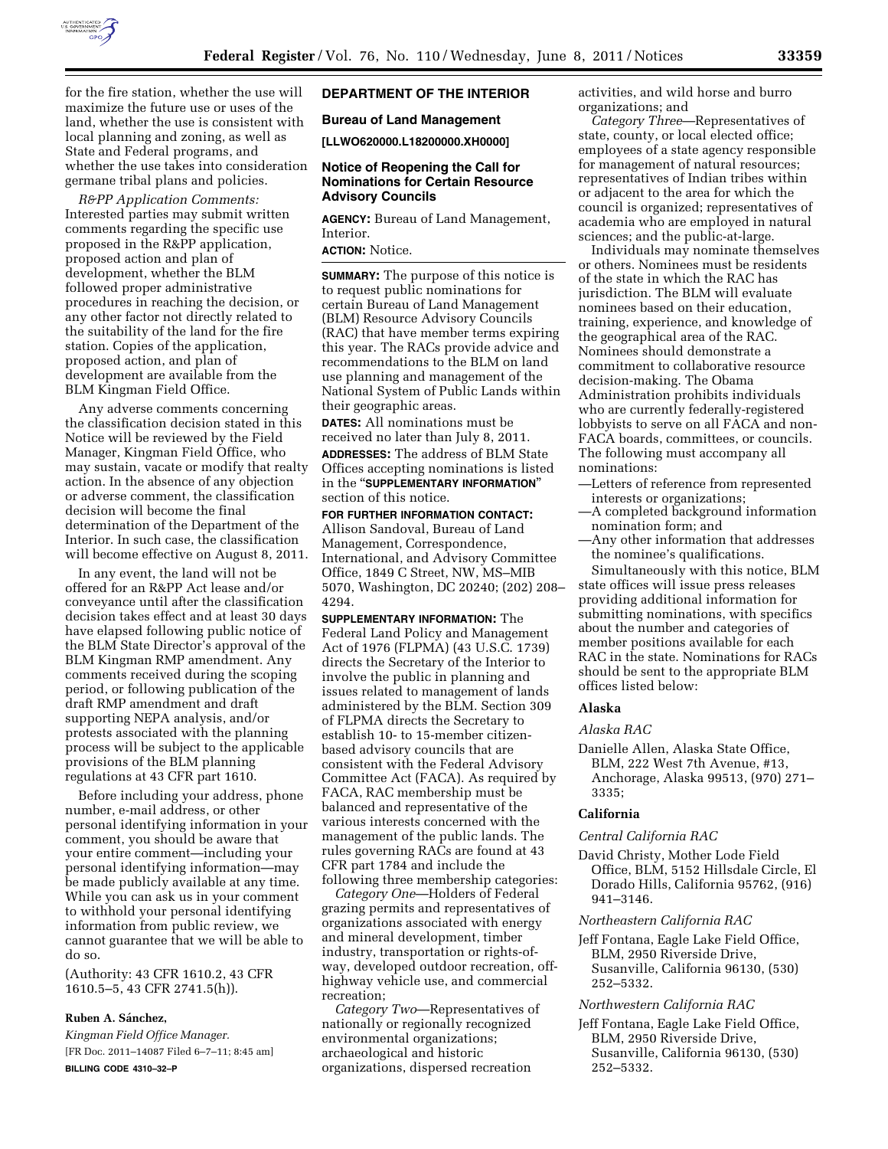

for the fire station, whether the use will maximize the future use or uses of the land, whether the use is consistent with local planning and zoning, as well as State and Federal programs, and whether the use takes into consideration germane tribal plans and policies.

*R&PP Application Comments:*  Interested parties may submit written comments regarding the specific use proposed in the R&PP application, proposed action and plan of development, whether the BLM followed proper administrative procedures in reaching the decision, or any other factor not directly related to the suitability of the land for the fire station. Copies of the application, proposed action, and plan of development are available from the BLM Kingman Field Office.

Any adverse comments concerning the classification decision stated in this Notice will be reviewed by the Field Manager, Kingman Field Office, who may sustain, vacate or modify that realty action. In the absence of any objection or adverse comment, the classification decision will become the final determination of the Department of the Interior. In such case, the classification will become effective on August 8, 2011.

In any event, the land will not be offered for an R&PP Act lease and/or conveyance until after the classification decision takes effect and at least 30 days have elapsed following public notice of the BLM State Director's approval of the BLM Kingman RMP amendment. Any comments received during the scoping period, or following publication of the draft RMP amendment and draft supporting NEPA analysis, and/or protests associated with the planning process will be subject to the applicable provisions of the BLM planning regulations at 43 CFR part 1610.

Before including your address, phone number, e-mail address, or other personal identifying information in your comment, you should be aware that your entire comment—including your personal identifying information—may be made publicly available at any time. While you can ask us in your comment to withhold your personal identifying information from public review, we cannot guarantee that we will be able to do so.

(Authority: 43 CFR 1610.2, 43 CFR 1610.5–5, 43 CFR 2741.5(h)).

#### **Ruben A. Sa´nchez,**

*Kingman Field Office Manager.*  [FR Doc. 2011–14087 Filed 6–7–11; 8:45 am] **BILLING CODE 4310–32–P** 

# **DEPARTMENT OF THE INTERIOR**

#### **Bureau of Land Management**

**[LLWO620000.L18200000.XH0000]** 

#### **Notice of Reopening the Call for Nominations for Certain Resource Advisory Councils**

**AGENCY:** Bureau of Land Management, Interior.

# **ACTION:** Notice.

**SUMMARY:** The purpose of this notice is to request public nominations for certain Bureau of Land Management (BLM) Resource Advisory Councils (RAC) that have member terms expiring this year. The RACs provide advice and recommendations to the BLM on land use planning and management of the National System of Public Lands within their geographic areas.

**DATES:** All nominations must be received no later than July 8, 2011. **ADDRESSES:** The address of BLM State Offices accepting nominations is listed in the ''**SUPPLEMENTARY INFORMATION**''

section of this notice.

## **FOR FURTHER INFORMATION CONTACT:**  Allison Sandoval, Bureau of Land Management, Correspondence, International, and Advisory Committee Office, 1849 C Street, NW, MS–MIB 5070, Washington, DC 20240; (202) 208– 4294.

**SUPPLEMENTARY INFORMATION:** The Federal Land Policy and Management Act of 1976 (FLPMA) (43 U.S.C. 1739) directs the Secretary of the Interior to involve the public in planning and issues related to management of lands administered by the BLM. Section 309 of FLPMA directs the Secretary to establish 10- to 15-member citizenbased advisory councils that are consistent with the Federal Advisory Committee Act (FACA). As required by FACA, RAC membership must be balanced and representative of the various interests concerned with the management of the public lands. The rules governing RACs are found at 43 CFR part 1784 and include the following three membership categories:

*Category One*—Holders of Federal grazing permits and representatives of organizations associated with energy and mineral development, timber industry, transportation or rights-ofway, developed outdoor recreation, offhighway vehicle use, and commercial recreation;

*Category Two*—Representatives of nationally or regionally recognized environmental organizations; archaeological and historic organizations, dispersed recreation

activities, and wild horse and burro organizations; and

*Category Three*—Representatives of state, county, or local elected office; employees of a state agency responsible for management of natural resources; representatives of Indian tribes within or adjacent to the area for which the council is organized; representatives of academia who are employed in natural sciences; and the public-at-large.

Individuals may nominate themselves or others. Nominees must be residents of the state in which the RAC has jurisdiction. The BLM will evaluate nominees based on their education, training, experience, and knowledge of the geographical area of the RAC. Nominees should demonstrate a commitment to collaborative resource decision-making. The Obama Administration prohibits individuals who are currently federally-registered lobbyists to serve on all FACA and non-FACA boards, committees, or councils. The following must accompany all nominations:

- —Letters of reference from represented interests or organizations;
- —A completed background information nomination form; and
- —Any other information that addresses the nominee's qualifications.

Simultaneously with this notice, BLM state offices will issue press releases providing additional information for submitting nominations, with specifics about the number and categories of member positions available for each RAC in the state. Nominations for RACs should be sent to the appropriate BLM offices listed below:

# **Alaska**

#### *Alaska RAC*

Danielle Allen, Alaska State Office, BLM, 222 West 7th Avenue, #13, Anchorage, Alaska 99513, (970) 271– 3335;

#### **California**

#### *Central California RAC*

David Christy, Mother Lode Field Office, BLM, 5152 Hillsdale Circle, El Dorado Hills, California 95762, (916) 941–3146.

#### *Northeastern California RAC*

Jeff Fontana, Eagle Lake Field Office, BLM, 2950 Riverside Drive, Susanville, California 96130, (530) 252–5332.

#### *Northwestern California RAC*

Jeff Fontana, Eagle Lake Field Office, BLM, 2950 Riverside Drive, Susanville, California 96130, (530) 252–5332.